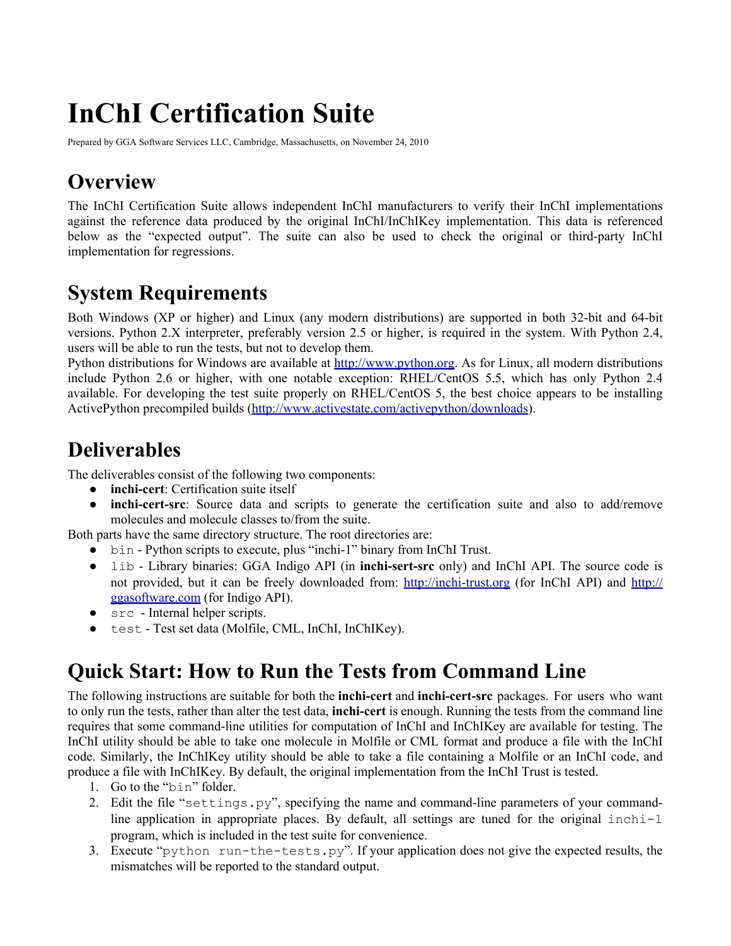# **InChI Certification Suite**

Prepared by GGA Software Services LLC, Cambridge, Massachusetts, on November 24, 2010

# **Overview**

The InChI Certification Suite allows independent InChI manufacturers to verify their InChI implementations against the reference data produced by the original InChI/InChIKey implementation. This data is referenced below as the "expected output". The suite can also be used to check the original or third-party InChI implementation for regressions.

# **System Requirements**

Both Windows (XP or higher) and Linux (any modern distributions) are supported in both 32-bit and 64-bit versions. Python 2.X interpreter, preferably version 2.5 or higher, is required in the system. With Python 2.4, users will be able to run the tests, but not to develop them.

Python distributions for Windows are available at [http](http://www.google.com/url?q=http%3A%2F%2Fwww.python.org&sa=D&sntz=1&usg=AFQjCNG74OuMTvzzPIKV7127cEKaZabdUw)://[www](http://www.google.com/url?q=http%3A%2F%2Fwww.python.org&sa=D&sntz=1&usg=AFQjCNG74OuMTvzzPIKV7127cEKaZabdUw).[pytho](http://www.google.com/url?q=http%3A%2F%2Fwww.python.org&sa=D&sntz=1&usg=AFQjCNG74OuMTvzzPIKV7127cEKaZabdUw)n.or[g.](http://www.google.com/url?q=http%3A%2F%2Fwww.python.org&sa=D&sntz=1&usg=AFQjCNG74OuMTvzzPIKV7127cEKaZabdUw) As [for](http://www.google.com/url?q=http%3A%2F%2Fwww.python.org&sa=D&sntz=1&usg=AFQjCNG74OuMTvzzPIKV7127cEKaZabdUw) Linux, [all](http://www.google.com/url?q=http%3A%2F%2Fwww.python.org&sa=D&sntz=1&usg=AFQjCNG74OuMTvzzPIKV7127cEKaZabdUw) modern distributions include Python 2.6 or higher, with one notable exception: RHEL/CentOS 5.5, which has only Python 2.4 available. For developing the test suite properly on RHEL/CentOS 5, the best choice appears to be installing ActivePython precompiled builds (http://www.activestate.com/activepython/downloads).

# **Deliverables**

The deliverables consist of the following two components:

- **inchi-cert**: Certification suite itself
- **inchi-cert-src**: Source data and scripts to generate the certification suite and also to add/remove molecules and molecule classes to/from the suite.

Both parts have the same directory structure. The root directories are:

- bin Python scripts to execute, plus "inchi-1" binary from InChI Trust.
- lib Library binaries: GGA Indigo API (in **inchi-sert-src** only) and InChI API. The source code is not provided, but it can be freely downloaded from: [http:](http://www.google.com/url?q=http%3A%2F%2Finchi-trust.org&sa=D&sntz=1&usg=AFQjCNEEtwIa2H4PgldZPvN6dq6naLj4cg)//i[nch](http://www.google.com/url?q=http%3A%2F%2Finchi-trust.org&sa=D&sntz=1&usg=AFQjCNEEtwIa2H4PgldZPvN6dq6naLj4cg)i-[trust.o](http://www.google.com/url?q=http%3A%2F%2Finchi-trust.org&sa=D&sntz=1&usg=AFQjCNEEtwIa2H4PgldZPvN6dq6naLj4cg)rg [\(f](http://www.google.com/url?q=http%3A%2F%2Finchi-trust.org&sa=D&sntz=1&usg=AFQjCNEEtwIa2H4PgldZPvN6dq6naLj4cg)or [InC](http://www.google.com/url?q=http%3A%2F%2Finchi-trust.org&sa=D&sntz=1&usg=AFQjCNEEtwIa2H4PgldZPvN6dq6naLj4cg)hI [API\)](http://www.google.com/url?q=http%3A%2F%2Finchi-trust.org&sa=D&sntz=1&usg=AFQjCNEEtwIa2H4PgldZPvN6dq6naLj4cg) and [http](http://www.google.com/url?q=http%3A%2F%2Fggasoftware.com&sa=D&sntz=1&usg=AFQjCNF7ddabjd9rMJktnmngIhuXvIT_5Q):// [ggasoftware](http://www.google.com/url?q=http%3A%2F%2Fggasoftware.com&sa=D&sntz=1&usg=AFQjCNF7ddabjd9rMJktnmngIhuXvIT_5Q).com (for In[digo](http://www.google.com/url?q=http%3A%2F%2Fggasoftware.com&sa=D&sntz=1&usg=AFQjCNF7ddabjd9rMJktnmngIhuXvIT_5Q) API).
- src Internal helper scripts.
- test Test set data (Molfile, CML, InChI, InChIKey).

# **Quick Start: How to Run the Tests from Command Line**

The following instructions are suitable for both the **inchi-cert** and **inchi-cert-src** packages. For users who want to only run the tests, rather than alter the test data, **inchi-cert** is enough. Running the tests from the command line requires that some command-line utilities for computation of InChI and InChIKey are available for testing. The InChI utility should be able to take one molecule in Molfile or CML format and produce a file with the InChI code. Similarly, the InChIKey utility should be able to take a file containing a Molfile or an InChI code, and produce a file with InChIKey. By default, the original implementation from the InChI Trust is tested.

- 1. Go to the "bin" folder.
- 2. Edit the file "settings.py", specifying the name and command-line parameters of your commandline application in appropriate places. By default, all settings are tuned for the original  $inchi-1$ program, which is included in the test suite for convenience.
- 3. Execute "python run-the-tests.py". If your application does not give the expected results, the mismatches will be reported to the standard output.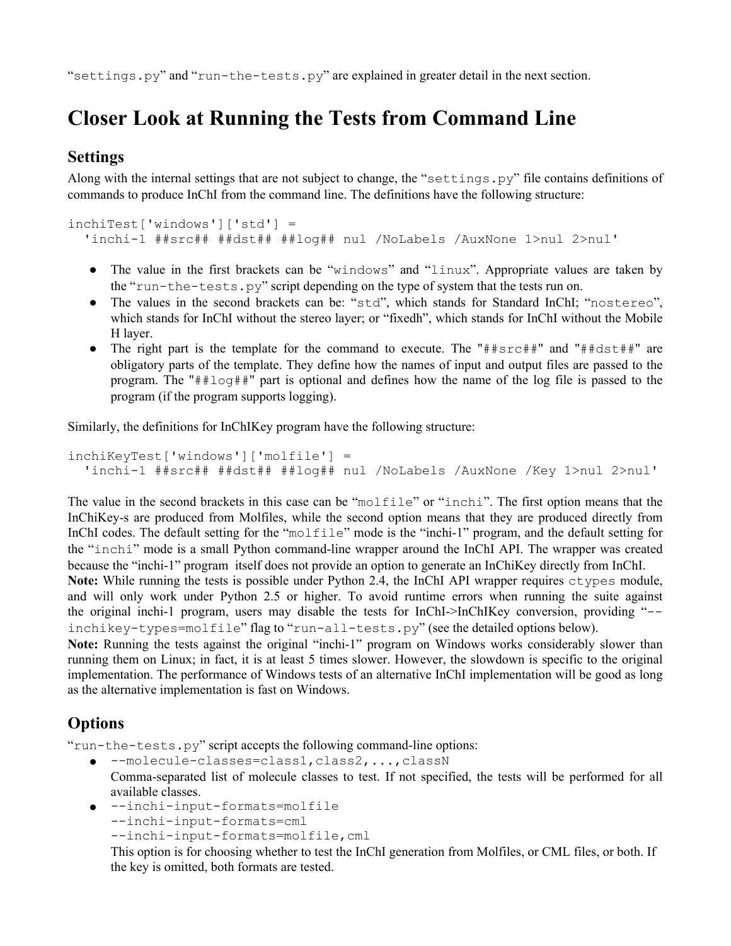"settings.py" and "run-the-tests.py" are explained in greater detail in the next section.

# **Closer Look at Running the Tests from Command Line**

#### **Settings**

Along with the internal settings that are not subject to change, the "settings.py" file contains definitions of commands to produce InChI from the command line. The definitions have the following structure:

```
inchiTest['windows']['std'] =
'inchi-1 ##src## ##dst## ##log## nul /NoLabels /AuxNone 1>nul 2>nul'
```
- The value in the first brackets can be "windows" and "linux". Appropriate values are taken by the "run-the-tests.py" script depending on the type of system that the tests run on.
- The values in the second brackets can be: "std", which stands for Standard InChI; "nostereo", which stands for InChI without the stereo layer; or "fixedh", which stands for InChI without the Mobile H layer.
- The right part is the template for the command to execute. The "##src##" and "##dst##" are obligatory parts of the template. They define how the names of input and output files are passed to the program. The "##log##" part is optional and defines how the name of the log file is passed to the program (if the program supports logging).

Similarly, the definitions for InChIKey program have the following structure:

```
inchiKeyTest['windows']['molfile'] =
'inchi-1 ##src## ##dst## ##log## nul /NoLabels /AuxNone /Key 1>nul 2>nul'
```
The value in the second brackets in this case can be "molfile" or "inchi". The first option means that the InChiKey-s are produced from Molfiles, while the second option means that they are produced directly from InChI codes. The default setting for the "molfile" mode is the "inchi-1" program, and the default setting for the "inchi" mode is a small Python command-line wrapper around the InChI API. The wrapper was created because the "inchi-1" program itself does not provide an option to generate an InChiKey directly from InChI. **Note:** While running the tests is possible under Python 2.4, the InChI API wrapper requires ctypes module, and will only work under Python 2.5 or higher. To avoid runtime errors when running the suite against the original inchi-1 program, users may disable the tests for InChI->InChIKey conversion, providing "--

inchikey-types=molfile" flag to "run-all-tests.py" (see the detailed options below). **Note:** Running the tests against the original "inchi-1" program on Windows works considerably slower than running them on Linux; in fact, it is at least 5 times slower. However, the slowdown is specific to the original implementation. The performance of Windows tests of an alternative InChI implementation will be good as long as the alternative implementation is fast on Windows.

#### **Options**

"run-the-tests.py" script accepts the following command-line options:

- --molecule-classes=class1,class2,...,classN Comma-separated list of molecule classes to test. If not specified, the tests will be performed for all available classes.
- --inchi-input-formats=molfile --inchi-input-formats=cml --inchi-input-formats=molfile,cml

This option is for choosing whether to test the InChI generation from Molfiles, or CML files, or both. If the key is omitted, both formats are tested.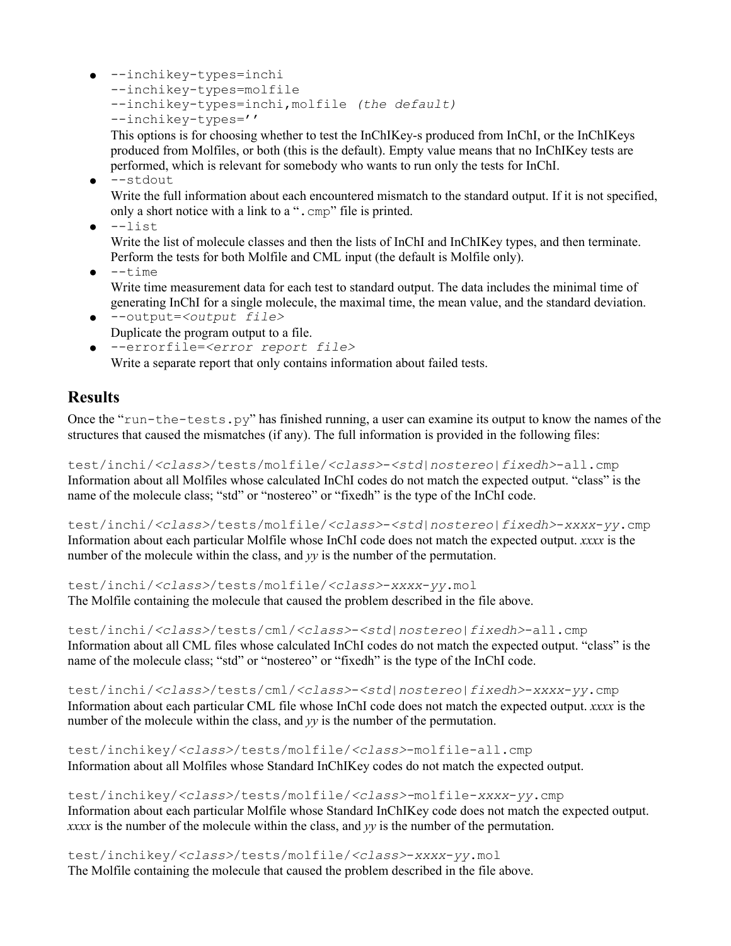● --inchikey-types=inchi --inchikey-types=molfile --inchikey-types=inchi,molfile *(the default)* --inchikey-types=''

This options is for choosing whether to test the InChIKey-s produced from InChI, or the InChIKeys produced from Molfiles, or both (this is the default). Empty value means that no InChIKey tests are performed, which is relevant for somebody who wants to run only the tests for InChI.

● --stdout

Write the full information about each encountered mismatch to the standard output. If it is not specified, only a short notice with a link to a ".cmp" file is printed.

 $\bullet$   $--$ list

Write the list of molecule classes and then the lists of InChI and InChIKey types, and then terminate. Perform the tests for both Molfile and CML input (the default is Molfile only).

 $\bullet$   $-$ time

Write time measurement data for each test to standard output. The data includes the minimal time of generating InChI for a single molecule, the maximal time, the mean value, and the standard deviation.

● --output=*<output file>* Duplicate the program output to a file.

● --errorfile=*<error report file>* Write a separate report that only contains information about failed tests.

#### **Results**

Once the "run-the-tests.py" has finished running, a user can examine its output to know the names of the structures that caused the mismatches (if any). The full information is provided in the following files:

test/inchi/*<class>*/tests/molfile/*<class>*-*<std|nostereo|fixedh>*-all.cmp Information about all Molfiles whose calculated InChI codes do not match the expected output. "class" is the name of the molecule class; "std" or "nostereo" or "fixedh" is the type of the InChI code.

test/inchi/*<class>*/tests/molfile/*<class>*-*<std|nostereo|fixedh>*-*xxxx*-*yy*.cmp Information about each particular Molfile whose InChI code does not match the expected output. *xxxx* is the number of the molecule within the class, and *yy* is the number of the permutation.

test/inchi/*<class>*/tests/molfile/*<class>*-*xxxx*-*yy*.mol The Molfile containing the molecule that caused the problem described in the file above.

test/inchi/*<class>*/tests/cml/*<class>*-*<std|nostereo|fixedh>*-all.cmp Information about all CML files whose calculated InChI codes do not match the expected output. "class" is the name of the molecule class; "std" or "nostereo" or "fixedh" is the type of the InChI code.

test/inchi/*<class>*/tests/cml/*<class>*-*<std|nostereo|fixedh>*-*xxxx*-*yy*.cmp Information about each particular CML file whose InChI code does not match the expected output. *xxxx* is the number of the molecule within the class, and *yy* is the number of the permutation.

test/inchikey/*<class>*/tests/molfile/*<class>*-molfile-all.cmp Information about all Molfiles whose Standard InChIKey codes do not match the expected output.

test/inchikey/*<class>*/tests/molfile/*<class>-*molfile-*xxxx*-*yy*.cmp Information about each particular Molfile whose Standard InChIKey code does not match the expected output. *xxxx* is the number of the molecule within the class, and *yy* is the number of the permutation.

test/inchikey/*<class>*/tests/molfile/*<class>*-*xxxx*-*yy*.mol The Molfile containing the molecule that caused the problem described in the file above.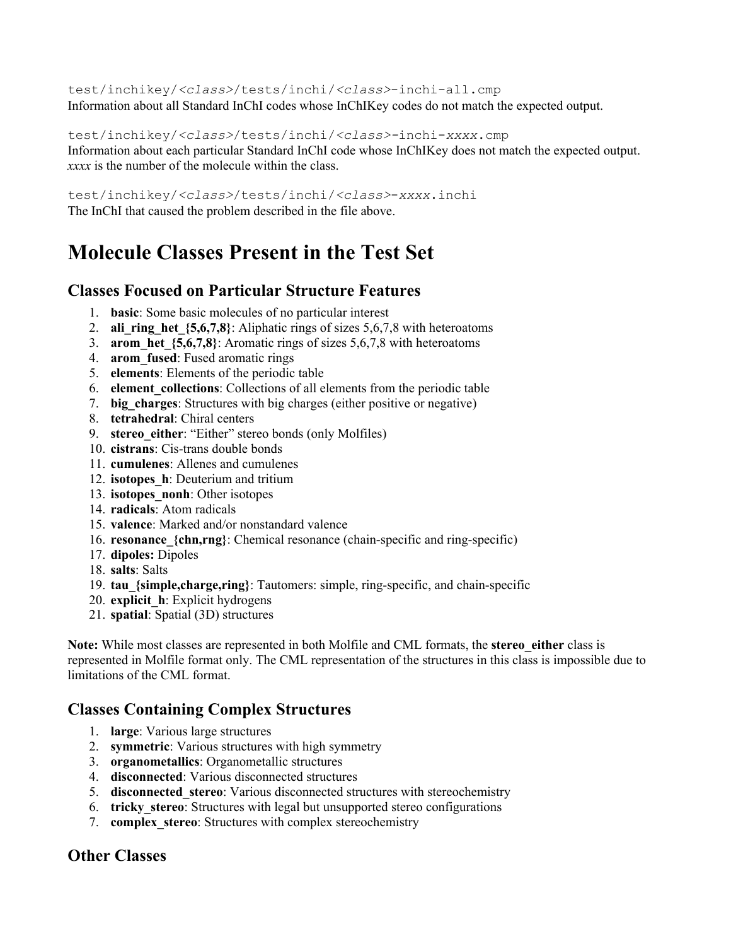test/inchikey/*<class>*/tests/inchi/*<class>*-inchi-all.cmp Information about all Standard InChI codes whose InChIKey codes do not match the expected output.

test/inchikey/*<class>*/tests/inchi/*<class>-*inchi-*xxxx*.cmp Information about each particular Standard InChI code whose InChIKey does not match the expected output. *xxxx* is the number of the molecule within the class.

test/inchikey/*<class>*/tests/inchi/*<class>*-*xxxx*.inchi The InChI that caused the problem described in the file above.

### **Molecule Classes Present in the Test Set**

#### **Classes Focused on Particular Structure Features**

- 1. **basic**: Some basic molecules of no particular interest
- 2. **ali ring het**  $\{5,6,7,8\}$ : Aliphatic rings of sizes 5,6,7,8 with heteroatoms
- 3. **arom\_het\_{5,6,7,8}**: Aromatic rings of sizes 5,6,7,8 with heteroatoms
- 4. **arom\_fused**: Fused aromatic rings
- 5. **elements**: Elements of the periodic table
- 6. **element\_collections**: Collections of all elements from the periodic table
- 7. **big\_charges**: Structures with big charges (either positive or negative)
- 8. **tetrahedral**: Chiral centers
- 9. **stereo either**: "Either" stereo bonds (only Molfiles)
- 10. **cistrans**: Cis-trans double bonds
- 11. **cumulenes**: Allenes and cumulenes
- 12. **isotopes\_h**: Deuterium and tritium
- 13. **isotopes\_nonh**: Other isotopes
- 14. **radicals**: Atom radicals
- 15. **valence**: Marked and/or nonstandard valence
- 16. **resonance\_{chn,rng}**: Chemical resonance (chain-specific and ring-specific)
- 17. **dipoles:** Dipoles
- 18. **salts**: Salts
- 19. **tau\_{simple,charge,ring}**: Tautomers: simple, ring-specific, and chain-specific
- 20. **explicit\_h**: Explicit hydrogens
- 21. **spatial**: Spatial (3D) structures

**Note:** While most classes are represented in both Molfile and CML formats, the **stereo\_either** class is represented in Molfile format only. The CML representation of the structures in this class is impossible due to limitations of the CML format.

#### **Classes Containing Complex Structures**

- 1. **large**: Various large structures
- 2. **symmetric**: Various structures with high symmetry
- 3. **organometallics**: Organometallic structures
- 4. **disconnected**: Various disconnected structures
- 5. **disconnected\_stereo**: Various disconnected structures with stereochemistry
- 6. **tricky\_stereo**: Structures with legal but unsupported stereo configurations
- 7. **complex\_stereo**: Structures with complex stereochemistry

#### **Other Classes**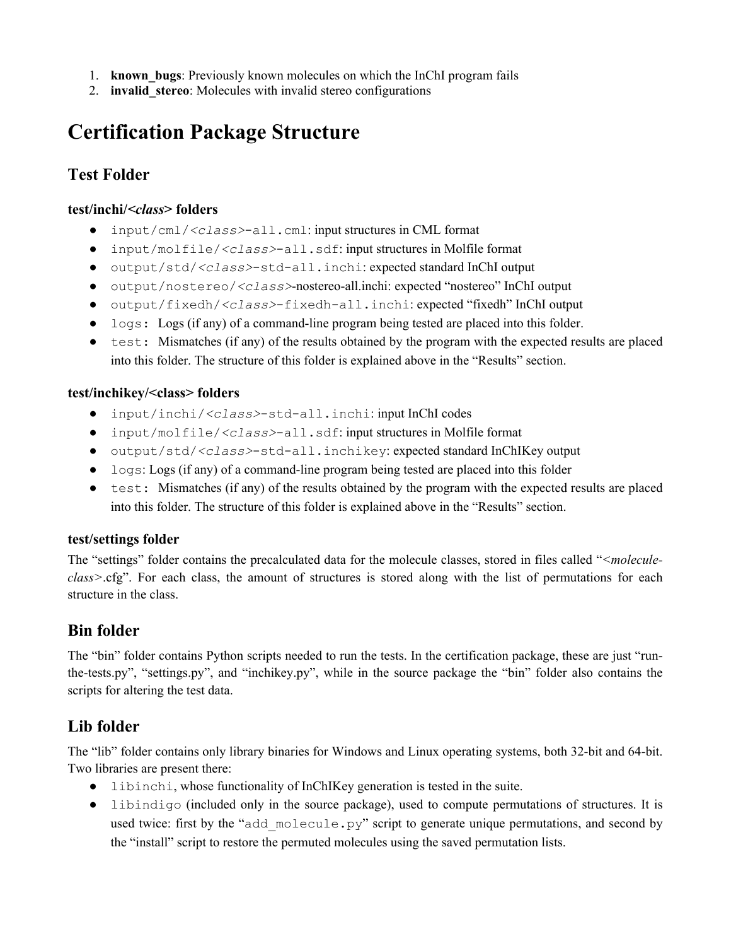- 1. **known\_bugs**: Previously known molecules on which the InChI program fails
- 2. **invalid\_stereo**: Molecules with invalid stereo configurations

# **Certification Package Structure**

#### **Test Folder**

#### **test/inchi/***<class>* **folders**

- input/cml/*<class>*-all.cml: input structures in CML format
- input/molfile/*<class>*-all.sdf: input structures in Molfile format
- output/std/*<class>*-std-all.inchi: expected standard InChI output
- output/nostereo/*<class>*-nostereo-all.inchi: expected "nostereo" InChI output
- output/fixedh/*<class>*-fixedh-all.inchi: expected "fixedh" InChI output
- logs: Logs (if any) of a command-line program being tested are placed into this folder.
- test: Mismatches (if any) of the results obtained by the program with the expected results are placed into this folder. The structure of this folder is explained above in the "Results" section.

#### **test/inchikey/<class> folders**

- input/inchi/*<class>*-std-all.inchi: input InChI codes
- input/molfile/*<class>*-all.sdf: input structures in Molfile format
- output/std/*<class>*-std-all.inchikey: expected standard InChIKey output
- logs: Logs (if any) of a command-line program being tested are placed into this folder
- test: Mismatches (if any) of the results obtained by the program with the expected results are placed into this folder. The structure of this folder is explained above in the "Results" section.

#### **test/settings folder**

The "settings" folder contains the precalculated data for the molecule classes, stored in files called "*<moleculeclass>*.cfg". For each class, the amount of structures is stored along with the list of permutations for each structure in the class.

#### **Bin folder**

The "bin" folder contains Python scripts needed to run the tests. In the certification package, these are just "runthe-tests.py", "settings.py", and "inchikey.py", while in the source package the "bin" folder also contains the scripts for altering the test data.

#### **Lib folder**

The "lib" folder contains only library binaries for Windows and Linux operating systems, both 32-bit and 64-bit. Two libraries are present there:

- libinchi, whose functionality of InChIKey generation is tested in the suite.
- libindigo (included only in the source package), used to compute permutations of structures. It is used twice: first by the "add\_molecule.py" script to generate unique permutations, and second by the "install" script to restore the permuted molecules using the saved permutation lists.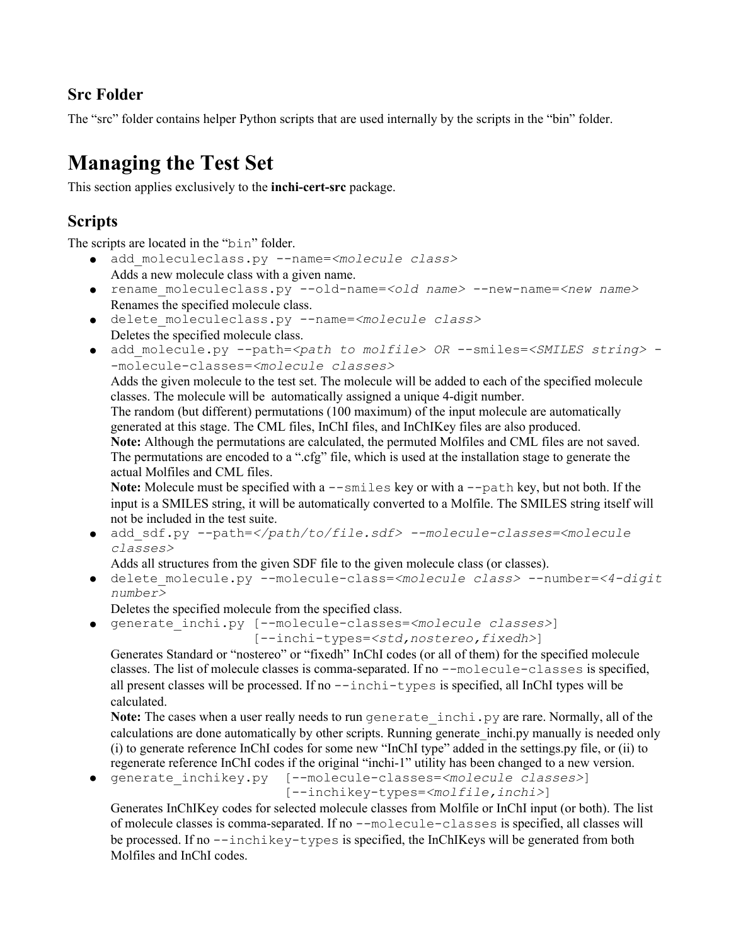#### **Src Folder**

The "src" folder contains helper Python scripts that are used internally by the scripts in the "bin" folder.

# **Managing the Test Set**

This section applies exclusively to the **inchi-cert-src** package.

#### **Scripts**

The scripts are located in the "bin" folder.

- add\_moleculeclass.py --name=*<molecule class>* Adds a new molecule class with a given name.
- rename\_moleculeclass.py --old-name=*<old name>* --new-name=*<new name>* Renames the specified molecule class.
- delete\_moleculeclass.py --name=*<molecule class>* Deletes the specified molecule class.
- add\_molecule.py --path=*<path to molfile> OR* --smiles=*<SMILES string>* -molecule-classes=*<molecule classes>*

Adds the given molecule to the test set. The molecule will be added to each of the specified molecule classes. The molecule will be automatically assigned a unique 4-digit number.

The random (but different) permutations (100 maximum) of the input molecule are automatically generated at this stage. The CML files, InChI files, and InChIKey files are also produced. **Note:** Although the permutations are calculated, the permuted Molfiles and CML files are not saved.

The permutations are encoded to a ".cfg" file, which is used at the installation stage to generate the actual Molfiles and CML files.

Note: Molecule must be specified with a  $--$ smiles key or with a  $--$ path key, but not both. If the input is a SMILES string, it will be automatically converted to a Molfile. The SMILES string itself will not be included in the test suite.

● add\_sdf.py --path=*</path/to/file.sdf> --molecule-classes=<molecule classes>*

Adds all structures from the given SDF file to the given molecule class (or classes).

● delete\_molecule.py --molecule-class=*<molecule class>* --number=*<4-digit number>*

Deletes the specified molecule from the specified class.

● generate\_inchi.py [--molecule-classes=*<molecule classes>*]

```
[--inchi-types=<std,nostereo,fixedh>]
```
Generates Standard or "nostereo" or "fixedh" InChI codes (or all of them) for the specified molecule classes. The list of molecule classes is comma-separated. If no --molecule-classes is specified, all present classes will be processed. If no  $-\text{inchi-types}$  is specified, all InChI types will be calculated.

Note: The cases when a user really needs to run generate inchi.py are rare. Normally, all of the calculations are done automatically by other scripts. Running generate inchi.py manually is needed only (i) to generate reference InChI codes for some new "InChI type" added in the settings.py file, or (ii) to regenerate reference InChI codes if the original "inchi-1" utility has been changed to a new version.

● generate\_inchikey.py [--molecule-classes=*<molecule classes>*] [--inchikey-types=*<molfile,inchi>*]

Generates InChIKey codes for selected molecule classes from Molfile or InChI input (or both). The list of molecule classes is comma-separated. If no --molecule-classes is specified, all classes will be processed. If no --inchikey-types is specified, the InChIKeys will be generated from both Molfiles and InChI codes.